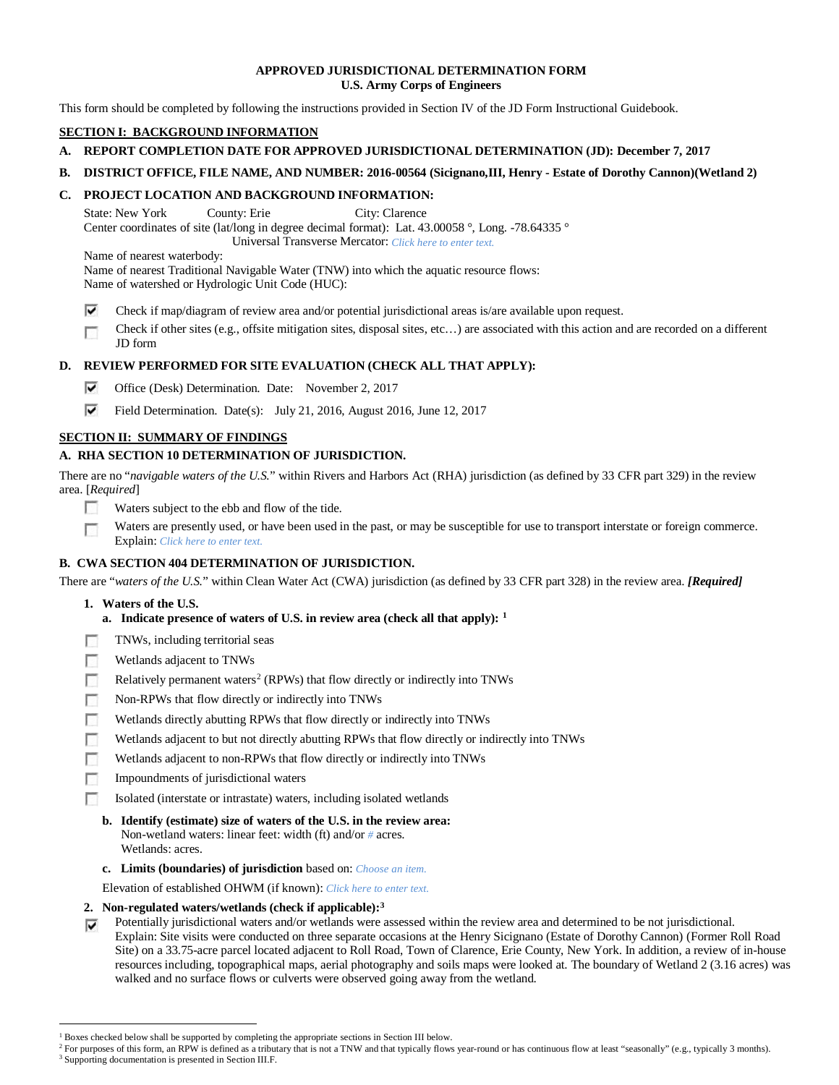# **APPROVED JURISDICTIONAL DETERMINATION FORM U.S. Army Corps of Engineers**

This form should be completed by following the instructions provided in Section IV of the JD Form Instructional Guidebook.

# **SECTION I: BACKGROUND INFORMATION**

- **A. REPORT COMPLETION DATE FOR APPROVED JURISDICTIONAL DETERMINATION (JD): December 7, 2017**
- **B. DISTRICT OFFICE, FILE NAME, AND NUMBER: 2016-00564 (Sicignano,III, Henry - Estate of Dorothy Cannon)(Wetland 2)**

# **C. PROJECT LOCATION AND BACKGROUND INFORMATION:**

State: New York County: Erie City: Clarence Center coordinates of site (lat/long in degree decimal format): Lat. 43.00058 °, Long. -78.64335 ° Universal Transverse Mercator: *Click here to enter text.*

Name of nearest waterbody:

Name of nearest Traditional Navigable Water (TNW) into which the aquatic resource flows: Name of watershed or Hydrologic Unit Code (HUC):

- ⊽ Check if map/diagram of review area and/or potential jurisdictional areas is/are available upon request.
- Check if other sites (e.g., offsite mitigation sites, disposal sites, etc…) are associated with this action and are recorded on a different г JD form

# **D. REVIEW PERFORMED FOR SITE EVALUATION (CHECK ALL THAT APPLY):**

- v. Office (Desk) Determination. Date: November 2, 2017
- ⊽ Field Determination. Date(s): July 21, 2016, August 2016, June 12, 2017

# **SECTION II: SUMMARY OF FINDINGS**

# **A. RHA SECTION 10 DETERMINATION OF JURISDICTION.**

There are no "*navigable waters of the U.S.*" within Rivers and Harbors Act (RHA) jurisdiction (as defined by 33 CFR part 329) in the review area. [*Required*]

- П Waters subject to the ebb and flow of the tide.
- Waters are presently used, or have been used in the past, or may be susceptible for use to transport interstate or foreign commerce. п Explain: *Click here to enter text.*

# **B. CWA SECTION 404 DETERMINATION OF JURISDICTION.**

There are "*waters of the U.S.*" within Clean Water Act (CWA) jurisdiction (as defined by 33 CFR part 328) in the review area. *[Required]*

- **1. Waters of the U.S.**
	- **a. Indicate presence of waters of U.S. in review area (check all that apply): [1](#page-0-0)**
- п TNWs, including territorial seas
- n Wetlands adjacent to TNWs
- Relatively permanent waters<sup>2</sup> (RPWs) that flow directly or indirectly into TNWs г
- **In** Non-RPWs that flow directly or indirectly into TNWs
- п Wetlands directly abutting RPWs that flow directly or indirectly into TNWs
- Wetlands adjacent to but not directly abutting RPWs that flow directly or indirectly into TNWs г
- п Wetlands adjacent to non-RPWs that flow directly or indirectly into TNWs
- п Impoundments of jurisdictional waters
- Isolated (interstate or intrastate) waters, including isolated wetlands п
	- **b. Identify (estimate) size of waters of the U.S. in the review area:** Non-wetland waters: linear feet: width (ft) and/or *#* acres. Wetlands: acres.
	- **c. Limits (boundaries) of jurisdiction** based on: *Choose an item.*

Elevation of established OHWM (if known): *Click here to enter text.*

#### **2. Non-regulated waters/wetlands (check if applicable):[3](#page-0-2)**

Potentially jurisdictional waters and/or wetlands were assessed within the review area and determined to be not jurisdictional. ⊽ Explain: Site visits were conducted on three separate occasions at the Henry Sicignano (Estate of Dorothy Cannon) (Former Roll Road Site) on a 33.75-acre parcel located adjacent to Roll Road, Town of Clarence, Erie County, New York. In addition, a review of in-house resources including, topographical maps, aerial photography and soils maps were looked at. The boundary of Wetland 2 (3.16 acres) was walked and no surface flows or culverts were observed going away from the wetland.

<sup>&</sup>lt;sup>1</sup> Boxes checked below shall be supported by completing the appropriate sections in Section III below.

<span id="page-0-2"></span><span id="page-0-1"></span><span id="page-0-0"></span><sup>&</sup>lt;sup>2</sup> For purposes of this form, an RPW is defined as a tributary that is not a TNW and that typically flows year-round or has continuous flow at least "seasonally" (e.g., typically 3 months). <sup>3</sup> Supporting documentation is presented in Section III.F.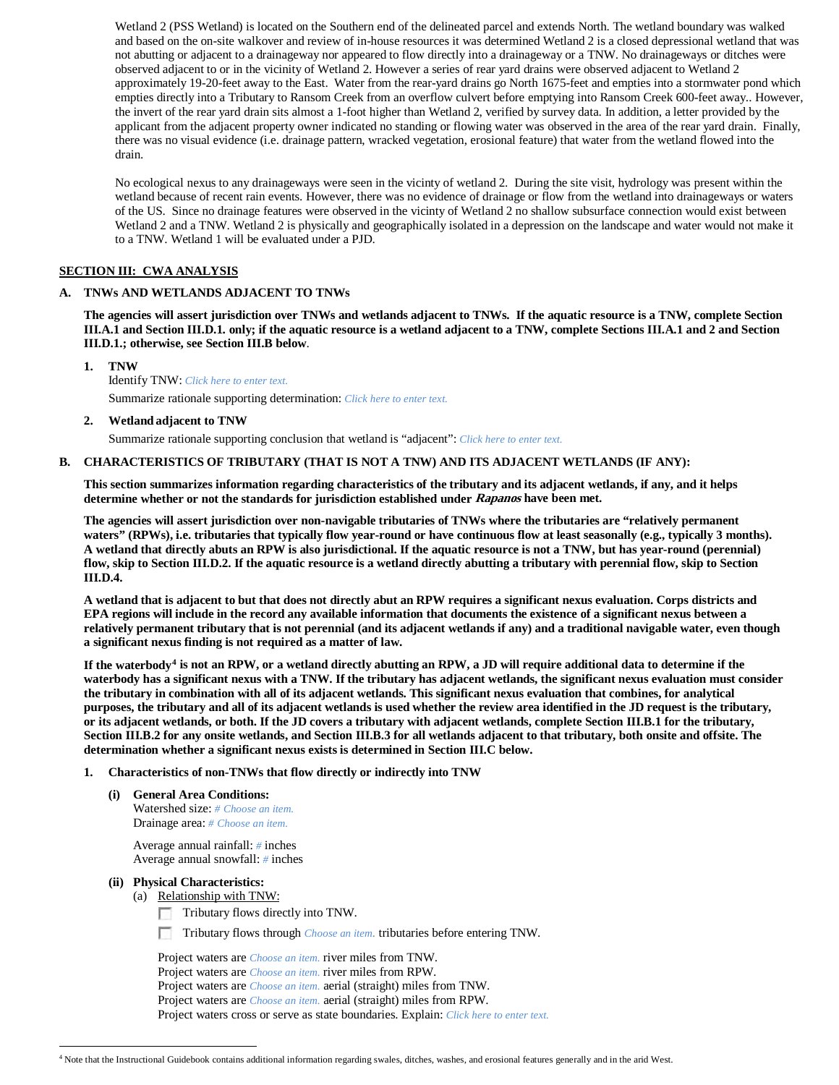Wetland 2 (PSS Wetland) is located on the Southern end of the delineated parcel and extends North. The wetland boundary was walked and based on the on-site walkover and review of in-house resources it was determined Wetland 2 is a closed depressional wetland that was not abutting or adjacent to a drainageway nor appeared to flow directly into a drainageway or a TNW. No drainageways or ditches were observed adjacent to or in the vicinity of Wetland 2. However a series of rear yard drains were observed adjacent to Wetland 2 approximately 19-20-feet away to the East. Water from the rear-yard drains go North 1675-feet and empties into a stormwater pond which empties directly into a Tributary to Ransom Creek from an overflow culvert before emptying into Ransom Creek 600-feet away.. However, the invert of the rear yard drain sits almost a 1-foot higher than Wetland 2, verified by survey data. In addition, a letter provided by the applicant from the adjacent property owner indicated no standing or flowing water was observed in the area of the rear yard drain. Finally, there was no visual evidence (i.e. drainage pattern, wracked vegetation, erosional feature) that water from the wetland flowed into the drain.

No ecological nexus to any drainageways were seen in the vicinty of wetland 2. During the site visit, hydrology was present within the wetland because of recent rain events. However, there was no evidence of drainage or flow from the wetland into drainageways or waters of the US. Since no drainage features were observed in the vicinty of Wetland 2 no shallow subsurface connection would exist between Wetland 2 and a TNW. Wetland 2 is physically and geographically isolated in a depression on the landscape and water would not make it to a TNW. Wetland 1 will be evaluated under a PJD.

# **SECTION III: CWA ANALYSIS**

# **A. TNWs AND WETLANDS ADJACENT TO TNWs**

**The agencies will assert jurisdiction over TNWs and wetlands adjacent to TNWs. If the aquatic resource is a TNW, complete Section III.A.1 and Section III.D.1. only; if the aquatic resource is a wetland adjacent to a TNW, complete Sections III.A.1 and 2 and Section III.D.1.; otherwise, see Section III.B below**.

**1. TNW** 

Identify TNW: *Click here to enter text.* Summarize rationale supporting determination: *Click here to enter text.*

**2. Wetland adjacent to TNW**

Summarize rationale supporting conclusion that wetland is "adjacent": *Click here to enter text.*

# **B. CHARACTERISTICS OF TRIBUTARY (THAT IS NOT A TNW) AND ITS ADJACENT WETLANDS (IF ANY):**

**This section summarizes information regarding characteristics of the tributary and its adjacent wetlands, if any, and it helps determine whether or not the standards for jurisdiction established under Rapanos have been met.** 

**The agencies will assert jurisdiction over non-navigable tributaries of TNWs where the tributaries are "relatively permanent waters" (RPWs), i.e. tributaries that typically flow year-round or have continuous flow at least seasonally (e.g., typically 3 months). A wetland that directly abuts an RPW is also jurisdictional. If the aquatic resource is not a TNW, but has year-round (perennial) flow, skip to Section III.D.2. If the aquatic resource is a wetland directly abutting a tributary with perennial flow, skip to Section III.D.4.**

**A wetland that is adjacent to but that does not directly abut an RPW requires a significant nexus evaluation. Corps districts and EPA regions will include in the record any available information that documents the existence of a significant nexus between a relatively permanent tributary that is not perennial (and its adjacent wetlands if any) and a traditional navigable water, even though a significant nexus finding is not required as a matter of law.**

**If the waterbody[4](#page-1-0) is not an RPW, or a wetland directly abutting an RPW, a JD will require additional data to determine if the waterbody has a significant nexus with a TNW. If the tributary has adjacent wetlands, the significant nexus evaluation must consider the tributary in combination with all of its adjacent wetlands. This significant nexus evaluation that combines, for analytical purposes, the tributary and all of its adjacent wetlands is used whether the review area identified in the JD request is the tributary, or its adjacent wetlands, or both. If the JD covers a tributary with adjacent wetlands, complete Section III.B.1 for the tributary, Section III.B.2 for any onsite wetlands, and Section III.B.3 for all wetlands adjacent to that tributary, both onsite and offsite. The determination whether a significant nexus exists is determined in Section III.C below.**

#### **1. Characteristics of non-TNWs that flow directly or indirectly into TNW**

**(i) General Area Conditions:** Watershed size: *# Choose an item.* Drainage area: *# Choose an item.*

> Average annual rainfall: *#* inches Average annual snowfall: *#* inches

### **(ii) Physical Characteristics:**

- (a) Relationship with TNW:
	- Tributary flows directly into TNW. m.
	- Tributary flows through *Choose an item.* tributaries before entering TNW.

Project waters are *Choose an item.* river miles from TNW. Project waters are *Choose an item.* river miles from RPW. Project waters are *Choose an item.* aerial (straight) miles from TNW. Project waters are *Choose an item.* aerial (straight) miles from RPW. Project waters cross or serve as state boundaries. Explain: *Click here to enter text.*

<span id="page-1-0"></span> <sup>4</sup> Note that the Instructional Guidebook contains additional information regarding swales, ditches, washes, and erosional features generally and in the arid West.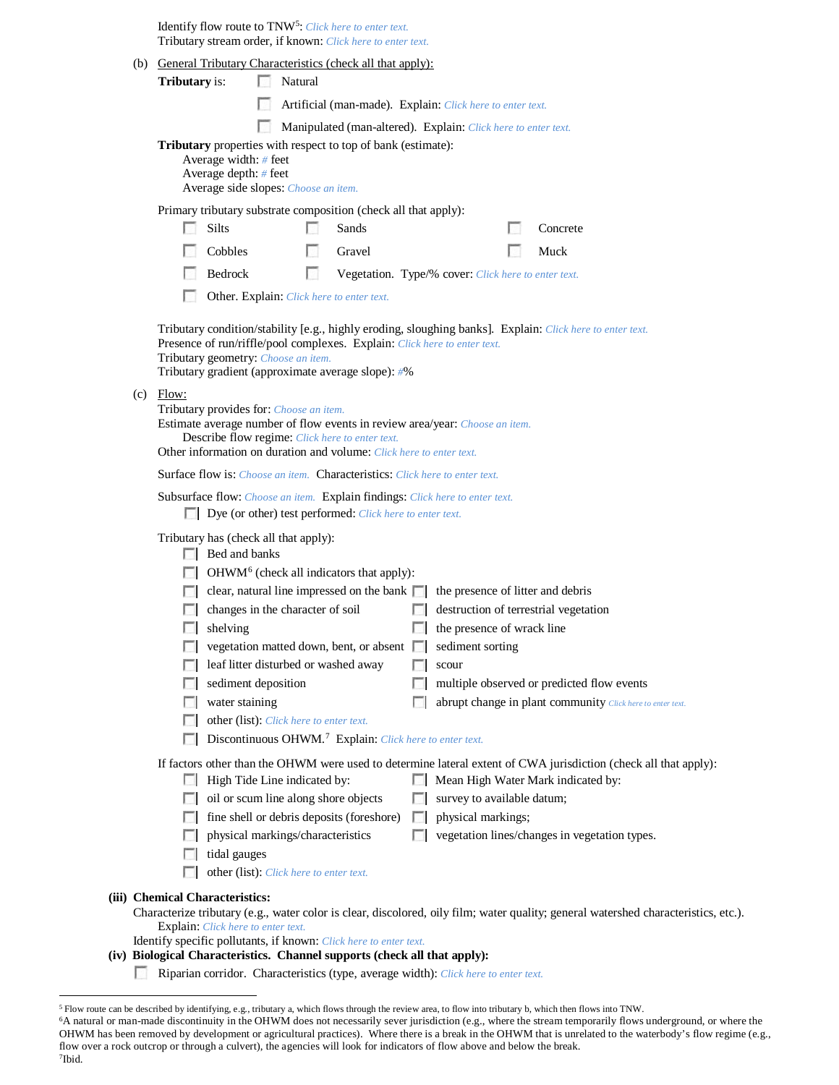Identify flow route to TNW<sup>[5](#page-2-0)</sup>: Click here to enter text. Tributary stream order, if known: *Click here to enter text.*

|                                                                                                                                                                                                                                                                  |                                                                                                                                                        |                                                                                                                                          | (b) General Tributary Characteristics (check all that apply):                                                          |    |                                                                             |  |                                                                                                           |                                                                                                                                     |  |
|------------------------------------------------------------------------------------------------------------------------------------------------------------------------------------------------------------------------------------------------------------------|--------------------------------------------------------------------------------------------------------------------------------------------------------|------------------------------------------------------------------------------------------------------------------------------------------|------------------------------------------------------------------------------------------------------------------------|----|-----------------------------------------------------------------------------|--|-----------------------------------------------------------------------------------------------------------|-------------------------------------------------------------------------------------------------------------------------------------|--|
| Tributary is:                                                                                                                                                                                                                                                    |                                                                                                                                                        | Natural                                                                                                                                  |                                                                                                                        |    |                                                                             |  |                                                                                                           |                                                                                                                                     |  |
|                                                                                                                                                                                                                                                                  |                                                                                                                                                        |                                                                                                                                          |                                                                                                                        |    | Artificial (man-made). Explain: Click here to enter text.                   |  |                                                                                                           |                                                                                                                                     |  |
|                                                                                                                                                                                                                                                                  |                                                                                                                                                        |                                                                                                                                          |                                                                                                                        |    | Manipulated (man-altered). Explain: Click here to enter text.               |  |                                                                                                           |                                                                                                                                     |  |
|                                                                                                                                                                                                                                                                  | Tributary properties with respect to top of bank (estimate):<br>Average width: # feet<br>Average depth: # feet<br>Average side slopes: Choose an item. |                                                                                                                                          |                                                                                                                        |    |                                                                             |  |                                                                                                           |                                                                                                                                     |  |
|                                                                                                                                                                                                                                                                  |                                                                                                                                                        |                                                                                                                                          | Primary tributary substrate composition (check all that apply):                                                        |    |                                                                             |  |                                                                                                           |                                                                                                                                     |  |
| L.                                                                                                                                                                                                                                                               | <b>Silts</b>                                                                                                                                           |                                                                                                                                          | Sands                                                                                                                  |    |                                                                             |  | Concrete                                                                                                  |                                                                                                                                     |  |
|                                                                                                                                                                                                                                                                  | Cobbles                                                                                                                                                | u                                                                                                                                        | Gravel                                                                                                                 |    |                                                                             |  | Muck                                                                                                      |                                                                                                                                     |  |
|                                                                                                                                                                                                                                                                  | Bedrock                                                                                                                                                | п                                                                                                                                        |                                                                                                                        |    | Vegetation. Type/% cover: Click here to enter text.                         |  |                                                                                                           |                                                                                                                                     |  |
|                                                                                                                                                                                                                                                                  |                                                                                                                                                        | Other. Explain: Click here to enter text.                                                                                                |                                                                                                                        |    |                                                                             |  |                                                                                                           |                                                                                                                                     |  |
|                                                                                                                                                                                                                                                                  |                                                                                                                                                        | Tributary geometry: Choose an item.                                                                                                      | Tributary gradient (approximate average slope): #%                                                                     |    | Presence of run/riffle/pool complexes. Explain: Click here to enter text.   |  | Tributary condition/stability [e.g., highly eroding, sloughing banks]. Explain: Click here to enter text. |                                                                                                                                     |  |
| Flow:<br>(c)<br>Tributary provides for: Choose an item.<br>Estimate average number of flow events in review area/year: Choose an item.<br>Describe flow regime: Click here to enter text.<br>Other information on duration and volume: Click here to enter text. |                                                                                                                                                        |                                                                                                                                          |                                                                                                                        |    |                                                                             |  |                                                                                                           |                                                                                                                                     |  |
|                                                                                                                                                                                                                                                                  |                                                                                                                                                        |                                                                                                                                          |                                                                                                                        |    | Surface flow is: Choose an item. Characteristics: Click here to enter text. |  |                                                                                                           |                                                                                                                                     |  |
|                                                                                                                                                                                                                                                                  |                                                                                                                                                        | Subsurface flow: Choose an item. Explain findings: Click here to enter text.<br>Dye (or other) test performed: Click here to enter text. |                                                                                                                        |    |                                                                             |  |                                                                                                           |                                                                                                                                     |  |
|                                                                                                                                                                                                                                                                  | $\Box$ Bed and banks                                                                                                                                   | Tributary has (check all that apply):<br>changes in the character of soil                                                                | $\Box$ OHWM <sup>6</sup> (check all indicators that apply):<br>$\Box$ clear, natural line impressed on the bank $\Box$ |    | the presence of litter and debris                                           |  | destruction of terrestrial vegetation                                                                     |                                                                                                                                     |  |
|                                                                                                                                                                                                                                                                  | shelving                                                                                                                                               |                                                                                                                                          |                                                                                                                        | L. | the presence of wrack line                                                  |  |                                                                                                           |                                                                                                                                     |  |
|                                                                                                                                                                                                                                                                  |                                                                                                                                                        |                                                                                                                                          | vegetation matted down, bent, or absent $\Box$                                                                         |    | sediment sorting                                                            |  |                                                                                                           |                                                                                                                                     |  |
|                                                                                                                                                                                                                                                                  |                                                                                                                                                        | leaf litter disturbed or washed away                                                                                                     |                                                                                                                        |    | scour                                                                       |  |                                                                                                           |                                                                                                                                     |  |
|                                                                                                                                                                                                                                                                  | sediment deposition                                                                                                                                    |                                                                                                                                          |                                                                                                                        |    |                                                                             |  | multiple observed or predicted flow events                                                                |                                                                                                                                     |  |
|                                                                                                                                                                                                                                                                  | water staining                                                                                                                                         |                                                                                                                                          |                                                                                                                        |    |                                                                             |  |                                                                                                           | abrupt change in plant community Click here to enter text.                                                                          |  |
|                                                                                                                                                                                                                                                                  |                                                                                                                                                        | other (list): Click here to enter text.                                                                                                  | Discontinuous OHWM. <sup>7</sup> Explain: Click here to enter text.                                                    |    |                                                                             |  |                                                                                                           |                                                                                                                                     |  |
|                                                                                                                                                                                                                                                                  |                                                                                                                                                        |                                                                                                                                          |                                                                                                                        |    |                                                                             |  |                                                                                                           | If factors other than the OHWM were used to determine lateral extent of CWA jurisdiction (check all that apply):                    |  |
|                                                                                                                                                                                                                                                                  |                                                                                                                                                        | High Tide Line indicated by:                                                                                                             |                                                                                                                        |    |                                                                             |  | Mean High Water Mark indicated by:                                                                        |                                                                                                                                     |  |
|                                                                                                                                                                                                                                                                  |                                                                                                                                                        | oil or scum line along shore objects                                                                                                     |                                                                                                                        |    | survey to available datum;                                                  |  |                                                                                                           |                                                                                                                                     |  |
|                                                                                                                                                                                                                                                                  |                                                                                                                                                        |                                                                                                                                          | fine shell or debris deposits (foreshore)                                                                              |    | physical markings;                                                          |  |                                                                                                           |                                                                                                                                     |  |
|                                                                                                                                                                                                                                                                  |                                                                                                                                                        | physical markings/characteristics                                                                                                        |                                                                                                                        |    |                                                                             |  | vegetation lines/changes in vegetation types.                                                             |                                                                                                                                     |  |
|                                                                                                                                                                                                                                                                  | tidal gauges                                                                                                                                           |                                                                                                                                          |                                                                                                                        |    |                                                                             |  |                                                                                                           |                                                                                                                                     |  |
|                                                                                                                                                                                                                                                                  |                                                                                                                                                        | other (list): Click here to enter text.                                                                                                  |                                                                                                                        |    |                                                                             |  |                                                                                                           |                                                                                                                                     |  |
| (iii) Chemical Characteristics:                                                                                                                                                                                                                                  |                                                                                                                                                        |                                                                                                                                          |                                                                                                                        |    |                                                                             |  |                                                                                                           |                                                                                                                                     |  |
|                                                                                                                                                                                                                                                                  |                                                                                                                                                        |                                                                                                                                          |                                                                                                                        |    |                                                                             |  |                                                                                                           | Characterize tributary (e.g., water color is clear, discolored, oily film; water quality; general watershed characteristics, etc.). |  |
|                                                                                                                                                                                                                                                                  | <b>Explain:</b> Click here to enter text.                                                                                                              |                                                                                                                                          | Identify specific pollutants, if known: Click here to enter text.                                                      |    |                                                                             |  |                                                                                                           |                                                                                                                                     |  |
|                                                                                                                                                                                                                                                                  |                                                                                                                                                        | (iv) Biological Characteristics - Channal supports (chook all that annly):                                                               |                                                                                                                        |    |                                                                             |  |                                                                                                           |                                                                                                                                     |  |

- **(iv) Biological Characteristics. Channel supports (check all that apply):**
	- Riparian corridor. Characteristics (type, average width): *Click here to enter text.*

<span id="page-2-0"></span> <sup>5</sup> Flow route can be described by identifying, e.g., tributary a, which flows through the review area, to flow into tributary b, which then flows into TNW.

<span id="page-2-2"></span><span id="page-2-1"></span><sup>&</sup>lt;sup>6</sup>A natural or man-made discontinuity in the OHWM does not necessarily sever jurisdiction (e.g., where the stream temporarily flows underground, or where the OHWM has been removed by development or agricultural practices). Where there is a break in the OHWM that is unrelated to the waterbody's flow regime (e.g., flow over a rock outcrop or through a culvert), the agencies will look for indicators of flow above and below the break. 7Ibid.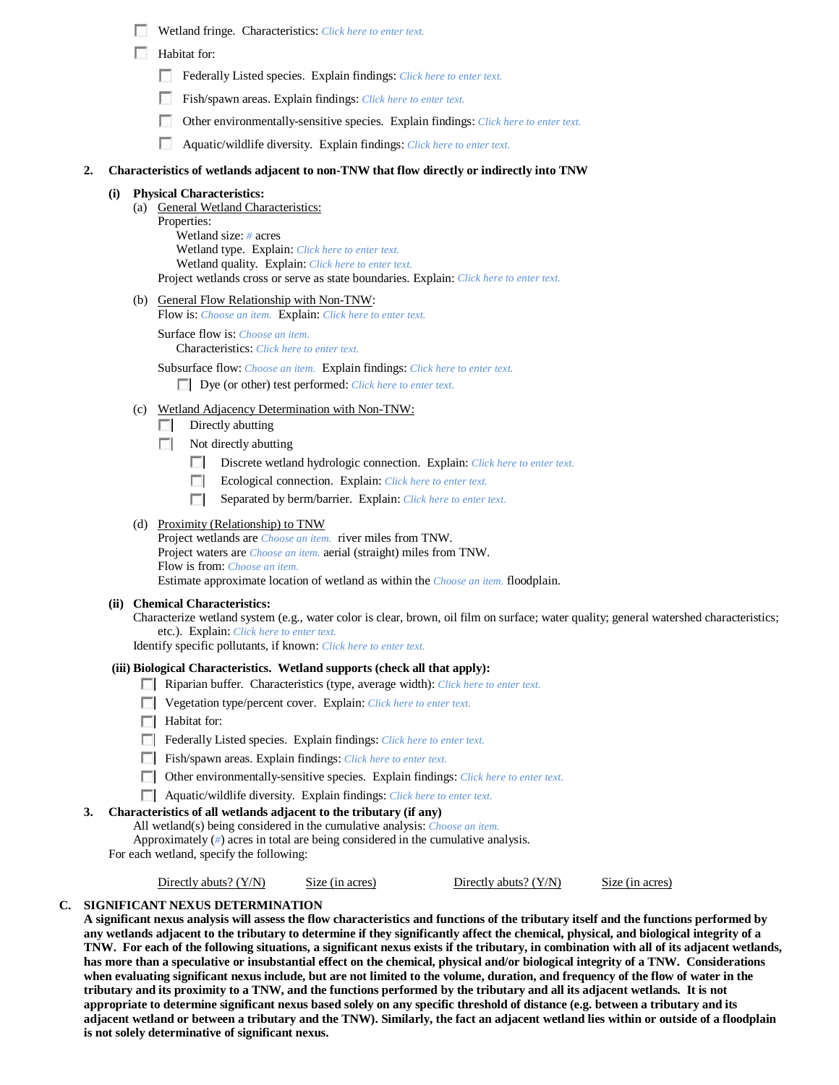|  | Wetland fringe. Characteristics: Click here to enter text. |  |  |  |  |  |
|--|------------------------------------------------------------|--|--|--|--|--|
|--|------------------------------------------------------------|--|--|--|--|--|

- **Habitat for:** 
	- Federally Listed species. Explain findings: *Click here to enter text.*
	- Fish/spawn areas. Explain findings: *Click here to enter text.*
	- Other environmentally-sensitive species. Explain findings: *Click here to enter text.*
	- Aquatic/wildlife diversity. Explain findings: *Click here to enter text.*

### **2. Characteristics of wetlands adjacent to non-TNW that flow directly or indirectly into TNW**

### **(i) Physical Characteristics:**

- (a) General Wetland Characteristics:
	- Properties:

Wetland size: *#* acres Wetland type. Explain: *Click here to enter text.* Wetland quality. Explain: *Click here to enter text.* Project wetlands cross or serve as state boundaries. Explain: *Click here to enter text.*

(b) General Flow Relationship with Non-TNW:

Flow is: *Choose an item.* Explain: *Click here to enter text.*

Surface flow is: *Choose an item.* Characteristics: *Click here to enter text.*

Subsurface flow: *Choose an item.* Explain findings: *Click here to enter text.* Dye (or other) test performed: *Click here to enter text.*

- (c) Wetland Adjacency Determination with Non-TNW:
	- $\Box$  Directly abutting
	- $\sim$ Not directly abutting
		- Discrete wetland hydrologic connection. Explain: *Click here to enter text.*
		- п Ecological connection. Explain: *Click here to enter text.*
		- **The Contract of the Contract of the Contract of the Contract of the Contract of the Contract of the Contract of the Contract of the Contract of the Contract of the Contract of the Contract of the Contract of the Contract** Separated by berm/barrier. Explain: *Click here to enter text.*

# (d) Proximity (Relationship) to TNW

Project wetlands are *Choose an item.* river miles from TNW. Project waters are *Choose an item.* aerial (straight) miles from TNW. Flow is from: *Choose an item.* Estimate approximate location of wetland as within the *Choose an item.* floodplain.

#### **(ii) Chemical Characteristics:**

Characterize wetland system (e.g., water color is clear, brown, oil film on surface; water quality; general watershed characteristics; etc.). Explain: *Click here to enter text.*

Identify specific pollutants, if known: *Click here to enter text.*

#### **(iii) Biological Characteristics. Wetland supports (check all that apply):**

- Riparian buffer. Characteristics (type, average width): *Click here to enter text.*
- Vegetation type/percent cover. Explain: *Click here to enter text.*
- **Habitat for:**
- Federally Listed species. Explain findings: *Click here to enter text.*
- Fish/spawn areas. Explain findings: *Click here to enter text.*
- Other environmentally-sensitive species. Explain findings: *Click here to enter text.*
- Aquatic/wildlife diversity. Explain findings: *Click here to enter text.*

### **3. Characteristics of all wetlands adjacent to the tributary (if any)**

All wetland(s) being considered in the cumulative analysis: *Choose an item.*

Approximately (*#*) acres in total are being considered in the cumulative analysis.

For each wetland, specify the following:

Directly abuts? (Y/N) Size (in acres) Directly abuts? (Y/N) Size (in acres)

# **C. SIGNIFICANT NEXUS DETERMINATION**

**A significant nexus analysis will assess the flow characteristics and functions of the tributary itself and the functions performed by any wetlands adjacent to the tributary to determine if they significantly affect the chemical, physical, and biological integrity of a TNW. For each of the following situations, a significant nexus exists if the tributary, in combination with all of its adjacent wetlands, has more than a speculative or insubstantial effect on the chemical, physical and/or biological integrity of a TNW. Considerations when evaluating significant nexus include, but are not limited to the volume, duration, and frequency of the flow of water in the tributary and its proximity to a TNW, and the functions performed by the tributary and all its adjacent wetlands. It is not appropriate to determine significant nexus based solely on any specific threshold of distance (e.g. between a tributary and its adjacent wetland or between a tributary and the TNW). Similarly, the fact an adjacent wetland lies within or outside of a floodplain is not solely determinative of significant nexus.**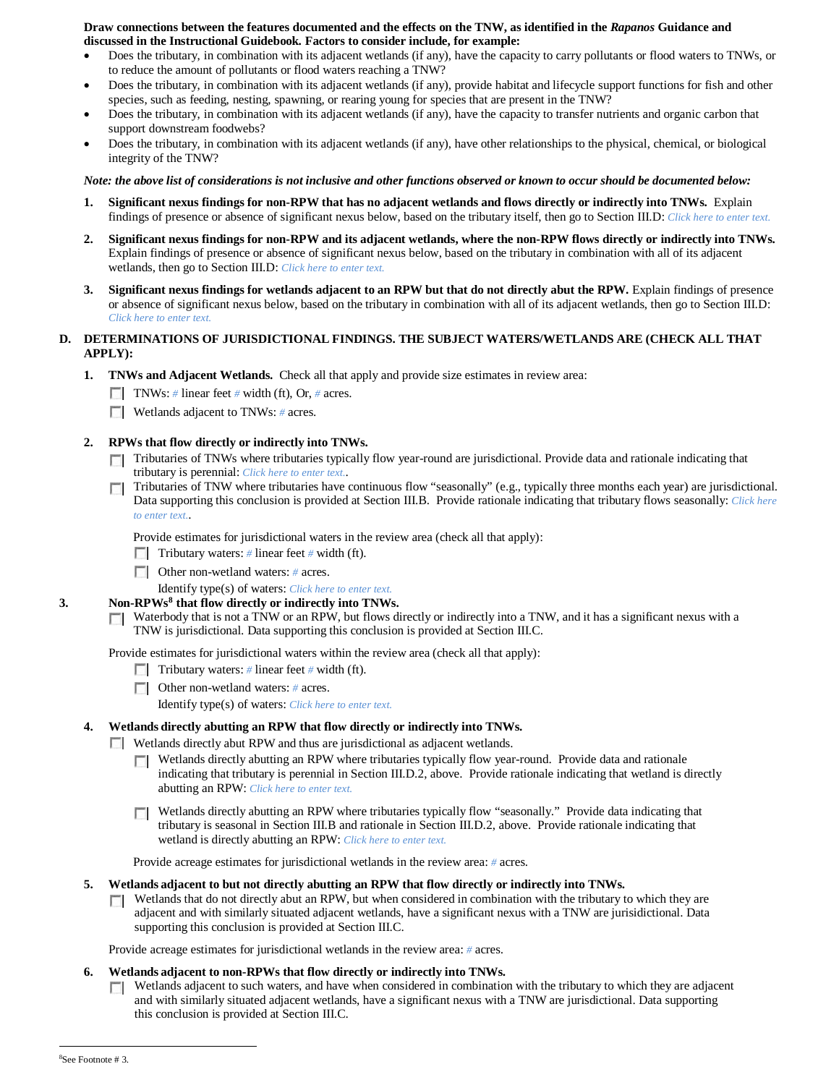#### **Draw connections between the features documented and the effects on the TNW, as identified in the** *Rapanos* **Guidance and discussed in the Instructional Guidebook. Factors to consider include, for example:**

- Does the tributary, in combination with its adjacent wetlands (if any), have the capacity to carry pollutants or flood waters to TNWs, or to reduce the amount of pollutants or flood waters reaching a TNW?
- Does the tributary, in combination with its adjacent wetlands (if any), provide habitat and lifecycle support functions for fish and other species, such as feeding, nesting, spawning, or rearing young for species that are present in the TNW?
- Does the tributary, in combination with its adjacent wetlands (if any), have the capacity to transfer nutrients and organic carbon that support downstream foodwebs?
- Does the tributary, in combination with its adjacent wetlands (if any), have other relationships to the physical, chemical, or biological integrity of the TNW?

### *Note: the above list of considerations is not inclusive and other functions observed or known to occur should be documented below:*

- **1. Significant nexus findings for non-RPW that has no adjacent wetlands and flows directly or indirectly into TNWs.** Explain findings of presence or absence of significant nexus below, based on the tributary itself, then go to Section III.D: *Click here to enter text.*
- **2. Significant nexus findings for non-RPW and its adjacent wetlands, where the non-RPW flows directly or indirectly into TNWs.**  Explain findings of presence or absence of significant nexus below, based on the tributary in combination with all of its adjacent wetlands, then go to Section III.D: *Click here to enter text.*
- **3. Significant nexus findings for wetlands adjacent to an RPW but that do not directly abut the RPW.** Explain findings of presence or absence of significant nexus below, based on the tributary in combination with all of its adjacent wetlands, then go to Section III.D: *Click here to enter text.*

# **D. DETERMINATIONS OF JURISDICTIONAL FINDINGS. THE SUBJECT WATERS/WETLANDS ARE (CHECK ALL THAT APPLY):**

- **1. TNWs and Adjacent Wetlands.** Check all that apply and provide size estimates in review area:
	- TNWs: *#* linear feet *#* width (ft), Or, *#* acres.
	- **Wetlands adjacent to TNWs: # acres.**

# **2. RPWs that flow directly or indirectly into TNWs.**

- Tributaries of TNWs where tributaries typically flow year-round are jurisdictional. Provide data and rationale indicating that tributary is perennial: *Click here to enter text.*.
- Tributaries of TNW where tributaries have continuous flow "seasonally" (e.g., typically three months each year) are jurisdictional.  $\overline{\phantom{a}}$ Data supporting this conclusion is provided at Section III.B. Provide rationale indicating that tributary flows seasonally: *Click here to enter text.*.

Provide estimates for jurisdictional waters in the review area (check all that apply):

- **Tributary waters:** # linear feet # width (ft).
- Other non-wetland waters: *#* acres.
- Identify type(s) of waters: *Click here to enter text.*
- **3. Non-RPWs[8](#page-4-0) that flow directly or indirectly into TNWs.**
	- $\Box$  Waterbody that is not a TNW or an RPW, but flows directly or indirectly into a TNW, and it has a significant nexus with a TNW is jurisdictional. Data supporting this conclusion is provided at Section III.C.

Provide estimates for jurisdictional waters within the review area (check all that apply):

- Tributary waters: # linear feet # width (ft).
- Other non-wetland waters: *#* acres.

Identify type(s) of waters: *Click here to enter text.*

### **4. Wetlands directly abutting an RPW that flow directly or indirectly into TNWs.**

- Wetlands directly abut RPW and thus are jurisdictional as adjacent wetlands.
	- Wetlands directly abutting an RPW where tributaries typically flow year-round. Provide data and rationale  $\sim$ indicating that tributary is perennial in Section III.D.2, above. Provide rationale indicating that wetland is directly abutting an RPW: *Click here to enter text.*
	- Wetlands directly abutting an RPW where tributaries typically flow "seasonally." Provide data indicating that tributary is seasonal in Section III.B and rationale in Section III.D.2, above. Provide rationale indicating that wetland is directly abutting an RPW: *Click here to enter text.*

Provide acreage estimates for jurisdictional wetlands in the review area: *#* acres.

- **5. Wetlands adjacent to but not directly abutting an RPW that flow directly or indirectly into TNWs.**
	- $\Box$  Wetlands that do not directly abut an RPW, but when considered in combination with the tributary to which they are adjacent and with similarly situated adjacent wetlands, have a significant nexus with a TNW are jurisidictional. Data supporting this conclusion is provided at Section III.C.

Provide acreage estimates for jurisdictional wetlands in the review area: *#* acres.

#### **6. Wetlands adjacent to non-RPWs that flow directly or indirectly into TNWs.**

Wetlands adjacent to such waters, and have when considered in combination with the tributary to which they are adjacent  $\sim$ and with similarly situated adjacent wetlands, have a significant nexus with a TNW are jurisdictional. Data supporting this conclusion is provided at Section III.C.

<span id="page-4-0"></span> $\frac{1}{8}$ See Footnote # 3.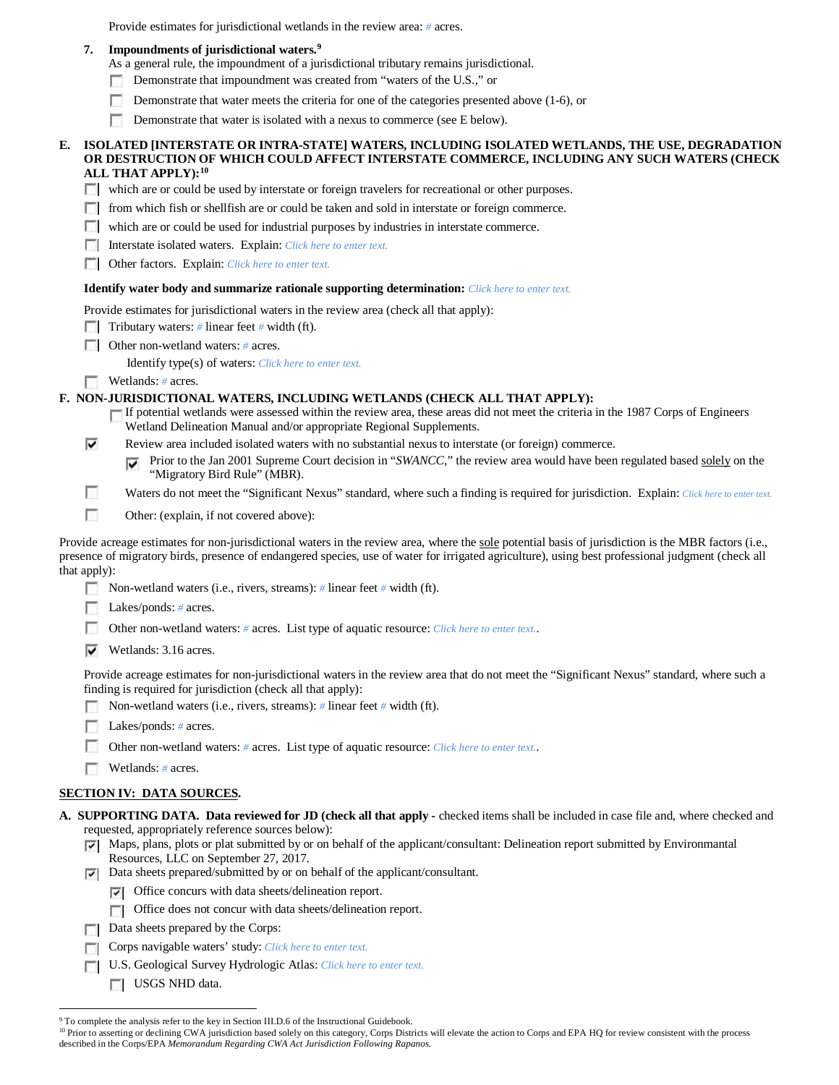Provide estimates for jurisdictional wetlands in the review area: *#* acres.

# **7. Impoundments of jurisdictional waters. [9](#page-5-0)**

- As a general rule, the impoundment of a jurisdictional tributary remains jurisdictional.
- Demonstrate that impoundment was created from "waters of the U.S.," or п.
- п Demonstrate that water meets the criteria for one of the categories presented above (1-6), or
- Demonstrate that water is isolated with a nexus to commerce (see E below). n

#### **E. ISOLATED [INTERSTATE OR INTRA-STATE] WATERS, INCLUDING ISOLATED WETLANDS, THE USE, DEGRADATION OR DESTRUCTION OF WHICH COULD AFFECT INTERSTATE COMMERCE, INCLUDING ANY SUCH WATERS (CHECK ALL THAT APPLY):[10](#page-5-1)**

which are or could be used by interstate or foreign travelers for recreational or other purposes.

- **F** from which fish or shellfish are or could be taken and sold in interstate or foreign commerce.
- which are or could be used for industrial purposes by industries in interstate commerce.
- Interstate isolated waters.Explain: *Click here to enter text.*
- Other factors.Explain: *Click here to enter text.*

#### **Identify water body and summarize rationale supporting determination:** *Click here to enter text.*

Provide estimates for jurisdictional waters in the review area (check all that apply):

- **Tributary waters:**  $\#$  linear feet  $\#$  width (ft).
- **Other non-wetland waters: # acres.** 
	- Identify type(s) of waters: *Click here to enter text.*
- Wetlands: # acres.

г

# **F. NON-JURISDICTIONAL WATERS, INCLUDING WETLANDS (CHECK ALL THAT APPLY):**

- If potential wetlands were assessed within the review area, these areas did not meet the criteria in the 1987 Corps of Engineers Wetland Delineation Manual and/or appropriate Regional Supplements.
- ⊽ Review area included isolated waters with no substantial nexus to interstate (or foreign) commerce.
	- Prior to the Jan 2001 Supreme Court decision in "*SWANCC*," the review area would have been regulated based solely on the ⊽ "Migratory Bird Rule" (MBR).
	- Waters do not meet the "Significant Nexus" standard, where such a finding is required for jurisdiction. Explain: *Click here to enter text.*
- г Other: (explain, if not covered above):

Provide acreage estimates for non-jurisdictional waters in the review area, where the sole potential basis of jurisdiction is the MBR factors (i.e., presence of migratory birds, presence of endangered species, use of water for irrigated agriculture), using best professional judgment (check all that apply):

- Non-wetland waters (i.e., rivers, streams): *#* linear feet *#* width (ft).
- Lakes/ponds: *#* acres.
- Other non-wetland waters: *#* acres. List type of aquatic resource: *Click here to enter text.*.
- ⊽ Wetlands: 3.16 acres.

Provide acreage estimates for non-jurisdictional waters in the review area that do not meet the "Significant Nexus" standard, where such a finding is required for jurisdiction (check all that apply):

- Г Non-wetland waters (i.e., rivers, streams): *#* linear feet *#* width (ft).
- Lakes/ponds: *#* acres.
- Other non-wetland waters: *#* acres. List type of aquatic resource: *Click here to enter text.*.
- **Wetlands:** # acres.

#### **SECTION IV: DATA SOURCES.**

- **A. SUPPORTING DATA. Data reviewed for JD (check all that apply -** checked items shall be included in case file and, where checked and requested, appropriately reference sources below):
	- Maps, plans, plots or plat submitted by or on behalf of the applicant/consultant: Delineation report submitted by Environmantal Resources, LLC on September 27, 2017.
	- Data sheets prepared/submitted by or on behalf of the applicant/consultant.
		- $\triangledown$  Office concurs with data sheets/delineation report.
		- Office does not concur with data sheets/delineation report.
	- Data sheets prepared by the Corps:
	- Corps navigable waters' study: *Click here to enter text.* п
	- U.S. Geological Survey Hydrologic Atlas: *Click here to enter text.*
		- USGS NHD data.

<span id="page-5-1"></span><span id="page-5-0"></span><sup>&</sup>lt;sup>9</sup> To complete the analysis refer to the key in Section III.D.6 of the Instructional Guidebook.<br><sup>10</sup> Prior to asserting or declining CWA jurisdiction based solely on this category, Corps Districts will elevate the action described in the Corps/EPA *Memorandum Regarding CWA Act Jurisdiction Following Rapanos.*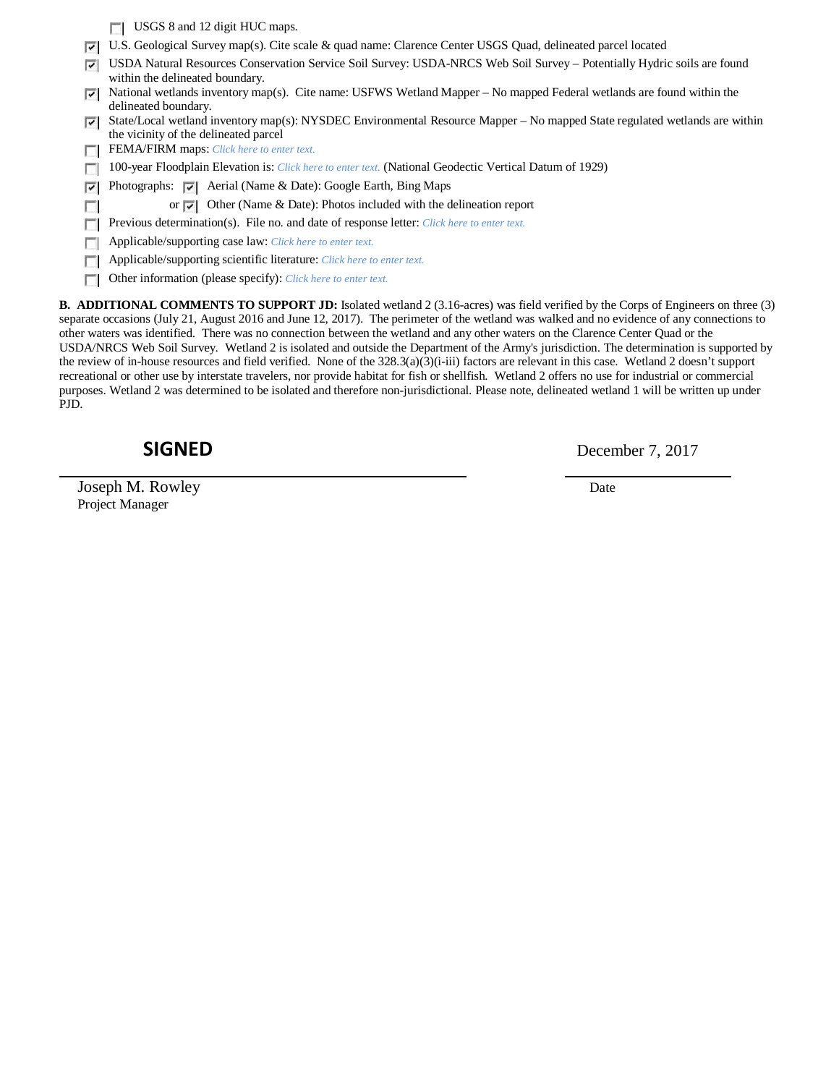|   | USGS 8 and 12 digit HUC maps.                                                                                                                                       |
|---|---------------------------------------------------------------------------------------------------------------------------------------------------------------------|
| ⊽ | U.S. Geological Survey map(s). Cite scale & quad name: Clarence Center USGS Quad, delineated parcel located                                                         |
| ⊽ | USDA Natural Resources Conservation Service Soil Survey: USDA-NRCS Web Soil Survey - Potentially Hydric soils are found<br>within the delineated boundary.          |
| ⊽ | National wetlands inventory map(s). Cite name: USFWS Wetland Mapper – No mapped Federal wetlands are found within the<br>delineated boundary.                       |
| ⊽ | State/Local wetland inventory map(s): NYSDEC Environmental Resource Mapper – No mapped State regulated wetlands are within<br>the vicinity of the delineated parcel |
|   | <b>FEMA/FIRM</b> maps: Click here to enter text.                                                                                                                    |
|   | 100-year Floodplain Elevation is: Click here to enter text. (National Geodectic Vertical Datum of 1929)                                                             |
| ⊽ | Photographs: $\triangledown$ Aerial (Name & Date): Google Earth, Bing Maps                                                                                          |
|   | or $\overline{ \cdot }$ Other (Name & Date): Photos included with the delineation report                                                                            |
|   | Previous determination(s). File no. and date of response letter: Click here to enter text.                                                                          |
|   | Applicable/supporting case law: Click here to enter text.                                                                                                           |
|   | Applicable/supporting scientific literature: Click here to enter text.                                                                                              |
|   | Other information (please specify): Click here to enter text.                                                                                                       |
|   | <b>B. ADDITIONAL COMMENTS TO SUPPORT JD:</b> Isolated wetland 2 (3.16-acres) was field verified by the Corps of Engineers on three (3)                              |

separate occasions (July 21, August 2016 and June 12, 2017). The perimeter of the wetland was walked and no evidence of any connections to other waters was identified. There was no connection between the wetland and any other waters on the Clarence Center Quad or the USDA/NRCS Web Soil Survey. Wetland 2 is isolated and outside the Department of the Army's jurisdiction. The determination is supported by the review of in-house resources and field verified. None of the 328.3(a)(3)(i-iii) factors are relevant in this case. Wetland 2 doesn't support recreational or other use by interstate travelers, nor provide habitat for fish or shellfish. Wetland 2 offers no use for industrial or commercial purposes. Wetland 2 was determined to be isolated and therefore non-jurisdictional. Please note, delineated wetland 1 will be written up under PJD.

Joseph M. Rowley Date Project Manager

**SIGNED** December 7, 2017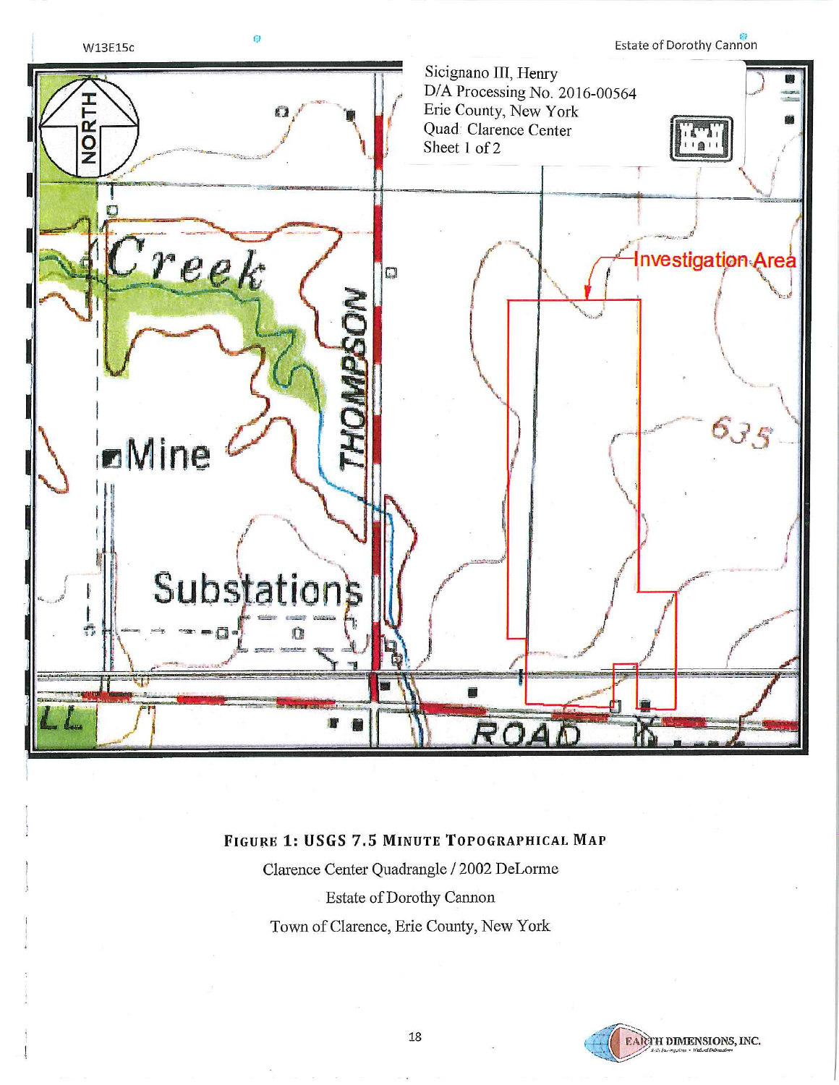

# FIGURE 1: USGS 7.5 MINUTE TOPOGRAPHICAL MAP

Clarence Center Quadrangle / 2002 DeLorme Estate of Dorothy Cannon Town of Clarence, Erie County, New York